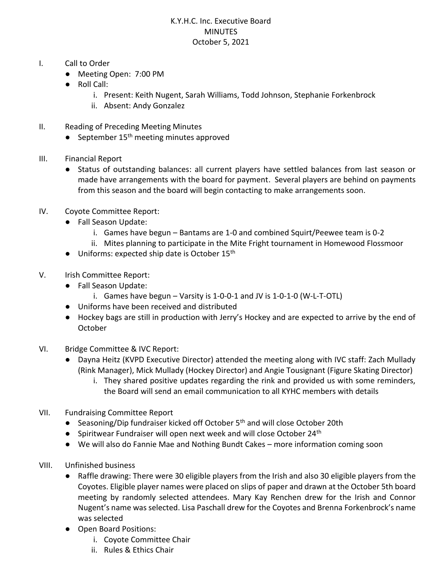## K.Y.H.C. Inc. Executive Board **MINUTES** October 5, 2021

- I. Call to Order
	- Meeting Open: 7:00 PM
	- Roll Call:
		- i. Present: Keith Nugent, Sarah Williams, Todd Johnson, Stephanie Forkenbrock
		- ii. Absent: Andy Gonzalez
- II. Reading of Preceding Meeting Minutes
	- September 15<sup>th</sup> meeting minutes approved
- III. Financial Report
	- Status of outstanding balances: all current players have settled balances from last season or made have arrangements with the board for payment. Several players are behind on payments from this season and the board will begin contacting to make arrangements soon.
- IV. Coyote Committee Report:
	- Fall Season Update:
		- i. Games have begun Bantams are 1-0 and combined Squirt/Peewee team is 0-2
		- ii. Mites planning to participate in the Mite Fright tournament in Homewood Flossmoor
	- Uniforms: expected ship date is October 15th
- V. Irish Committee Report:
	- Fall Season Update:
		- i. Games have begun Varsity is 1-0-0-1 and JV is 1-0-1-0 (W-L-T-OTL)
	- Uniforms have been received and distributed
	- Hockey bags are still in production with Jerry's Hockey and are expected to arrive by the end of **October**
- VI. Bridge Committee & IVC Report:
	- Dayna Heitz (KVPD Executive Director) attended the meeting along with IVC staff: Zach Mullady (Rink Manager), Mick Mullady (Hockey Director) and Angie Tousignant (Figure Skating Director)
		- i. They shared positive updates regarding the rink and provided us with some reminders, the Board will send an email communication to all KYHC members with details
- VII. Fundraising Committee Report
	- Seasoning/Dip fundraiser kicked off October 5<sup>th</sup> and will close October 20th
	- Spiritwear Fundraiser will open next week and will close October 24<sup>th</sup>
	- We will also do Fannie Mae and Nothing Bundt Cakes more information coming soon
- VIII. Unfinished business
	- Raffle drawing: There were 30 eligible players from the Irish and also 30 eligible players from the Coyotes. Eligible player names were placed on slips of paper and drawn at the October 5th board meeting by randomly selected attendees. Mary Kay Renchen drew for the Irish and Connor Nugent's name was selected. Lisa Paschall drew for the Coyotes and Brenna Forkenbrock's name was selected
	- Open Board Positions:
		- i. Coyote Committee Chair
		- ii. Rules & Ethics Chair